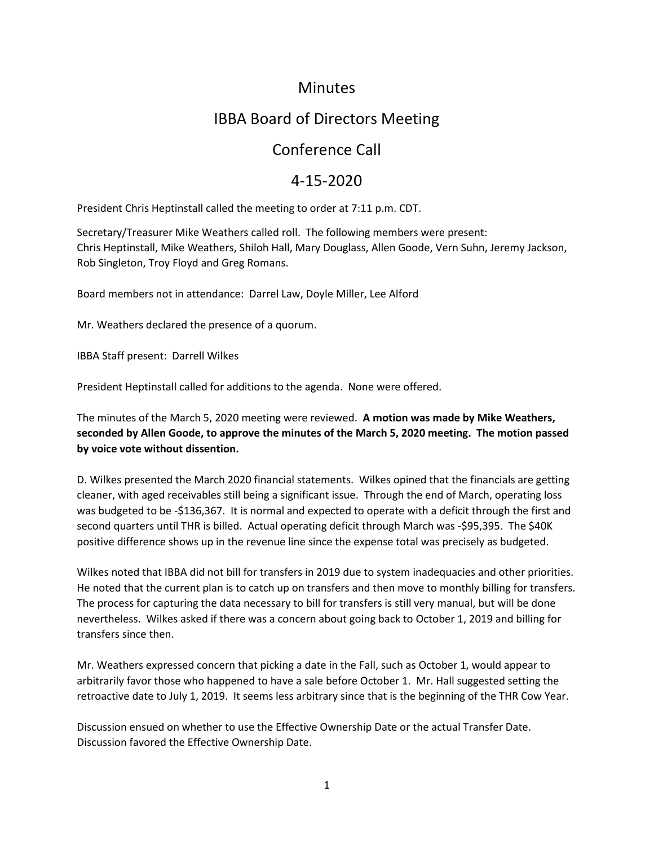### **Minutes**

# IBBA Board of Directors Meeting

## Conference Call

### 4-15-2020

President Chris Heptinstall called the meeting to order at 7:11 p.m. CDT.

Secretary/Treasurer Mike Weathers called roll. The following members were present: Chris Heptinstall, Mike Weathers, Shiloh Hall, Mary Douglass, Allen Goode, Vern Suhn, Jeremy Jackson, Rob Singleton, Troy Floyd and Greg Romans.

Board members not in attendance: Darrel Law, Doyle Miller, Lee Alford

Mr. Weathers declared the presence of a quorum.

IBBA Staff present: Darrell Wilkes

President Heptinstall called for additions to the agenda. None were offered.

The minutes of the March 5, 2020 meeting were reviewed. **A motion was made by Mike Weathers, seconded by Allen Goode, to approve the minutes of the March 5, 2020 meeting. The motion passed by voice vote without dissention.**

D. Wilkes presented the March 2020 financial statements. Wilkes opined that the financials are getting cleaner, with aged receivables still being a significant issue. Through the end of March, operating loss was budgeted to be -\$136,367. It is normal and expected to operate with a deficit through the first and second quarters until THR is billed. Actual operating deficit through March was -\$95,395. The \$40K positive difference shows up in the revenue line since the expense total was precisely as budgeted.

Wilkes noted that IBBA did not bill for transfers in 2019 due to system inadequacies and other priorities. He noted that the current plan is to catch up on transfers and then move to monthly billing for transfers. The process for capturing the data necessary to bill for transfers is still very manual, but will be done nevertheless. Wilkes asked if there was a concern about going back to October 1, 2019 and billing for transfers since then.

Mr. Weathers expressed concern that picking a date in the Fall, such as October 1, would appear to arbitrarily favor those who happened to have a sale before October 1. Mr. Hall suggested setting the retroactive date to July 1, 2019. It seems less arbitrary since that is the beginning of the THR Cow Year.

Discussion ensued on whether to use the Effective Ownership Date or the actual Transfer Date. Discussion favored the Effective Ownership Date.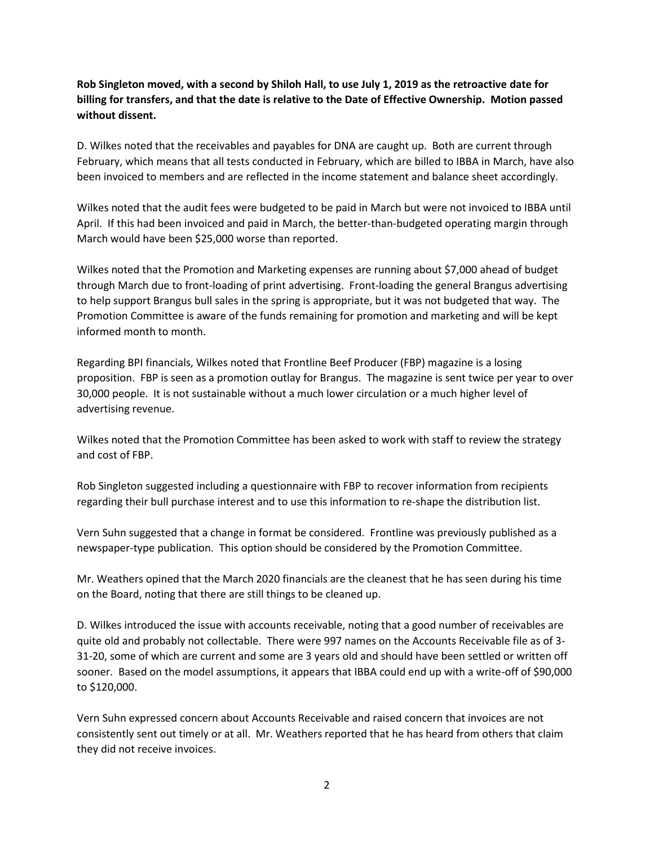**Rob Singleton moved, with a second by Shiloh Hall, to use July 1, 2019 as the retroactive date for billing for transfers, and that the date is relative to the Date of Effective Ownership. Motion passed without dissent.** 

D. Wilkes noted that the receivables and payables for DNA are caught up. Both are current through February, which means that all tests conducted in February, which are billed to IBBA in March, have also been invoiced to members and are reflected in the income statement and balance sheet accordingly.

Wilkes noted that the audit fees were budgeted to be paid in March but were not invoiced to IBBA until April. If this had been invoiced and paid in March, the better-than-budgeted operating margin through March would have been \$25,000 worse than reported.

Wilkes noted that the Promotion and Marketing expenses are running about \$7,000 ahead of budget through March due to front-loading of print advertising. Front-loading the general Brangus advertising to help support Brangus bull sales in the spring is appropriate, but it was not budgeted that way. The Promotion Committee is aware of the funds remaining for promotion and marketing and will be kept informed month to month.

Regarding BPI financials, Wilkes noted that Frontline Beef Producer (FBP) magazine is a losing proposition. FBP is seen as a promotion outlay for Brangus. The magazine is sent twice per year to over 30,000 people. It is not sustainable without a much lower circulation or a much higher level of advertising revenue.

Wilkes noted that the Promotion Committee has been asked to work with staff to review the strategy and cost of FBP.

Rob Singleton suggested including a questionnaire with FBP to recover information from recipients regarding their bull purchase interest and to use this information to re-shape the distribution list.

Vern Suhn suggested that a change in format be considered. Frontline was previously published as a newspaper-type publication. This option should be considered by the Promotion Committee.

Mr. Weathers opined that the March 2020 financials are the cleanest that he has seen during his time on the Board, noting that there are still things to be cleaned up.

D. Wilkes introduced the issue with accounts receivable, noting that a good number of receivables are quite old and probably not collectable. There were 997 names on the Accounts Receivable file as of 3- 31-20, some of which are current and some are 3 years old and should have been settled or written off sooner. Based on the model assumptions, it appears that IBBA could end up with a write-off of \$90,000 to \$120,000.

Vern Suhn expressed concern about Accounts Receivable and raised concern that invoices are not consistently sent out timely or at all. Mr. Weathers reported that he has heard from others that claim they did not receive invoices.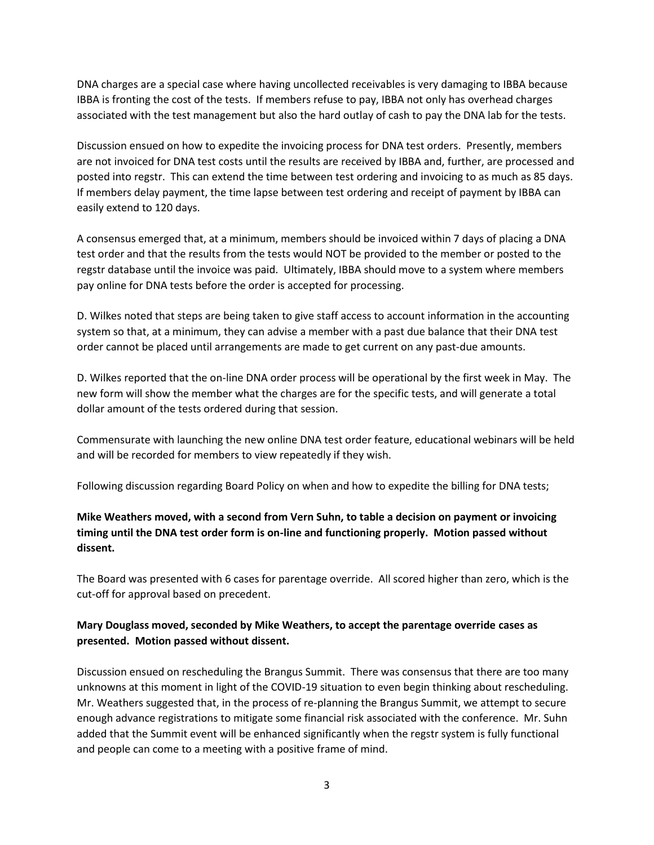DNA charges are a special case where having uncollected receivables is very damaging to IBBA because IBBA is fronting the cost of the tests. If members refuse to pay, IBBA not only has overhead charges associated with the test management but also the hard outlay of cash to pay the DNA lab for the tests.

Discussion ensued on how to expedite the invoicing process for DNA test orders. Presently, members are not invoiced for DNA test costs until the results are received by IBBA and, further, are processed and posted into regstr. This can extend the time between test ordering and invoicing to as much as 85 days. If members delay payment, the time lapse between test ordering and receipt of payment by IBBA can easily extend to 120 days.

A consensus emerged that, at a minimum, members should be invoiced within 7 days of placing a DNA test order and that the results from the tests would NOT be provided to the member or posted to the regstr database until the invoice was paid. Ultimately, IBBA should move to a system where members pay online for DNA tests before the order is accepted for processing.

D. Wilkes noted that steps are being taken to give staff access to account information in the accounting system so that, at a minimum, they can advise a member with a past due balance that their DNA test order cannot be placed until arrangements are made to get current on any past-due amounts.

D. Wilkes reported that the on-line DNA order process will be operational by the first week in May. The new form will show the member what the charges are for the specific tests, and will generate a total dollar amount of the tests ordered during that session.

Commensurate with launching the new online DNA test order feature, educational webinars will be held and will be recorded for members to view repeatedly if they wish.

Following discussion regarding Board Policy on when and how to expedite the billing for DNA tests;

#### **Mike Weathers moved, with a second from Vern Suhn, to table a decision on payment or invoicing timing until the DNA test order form is on-line and functioning properly. Motion passed without dissent.**

The Board was presented with 6 cases for parentage override. All scored higher than zero, which is the cut-off for approval based on precedent.

#### **Mary Douglass moved, seconded by Mike Weathers, to accept the parentage override cases as presented. Motion passed without dissent.**

Discussion ensued on rescheduling the Brangus Summit. There was consensus that there are too many unknowns at this moment in light of the COVID-19 situation to even begin thinking about rescheduling. Mr. Weathers suggested that, in the process of re-planning the Brangus Summit, we attempt to secure enough advance registrations to mitigate some financial risk associated with the conference. Mr. Suhn added that the Summit event will be enhanced significantly when the regstr system is fully functional and people can come to a meeting with a positive frame of mind.